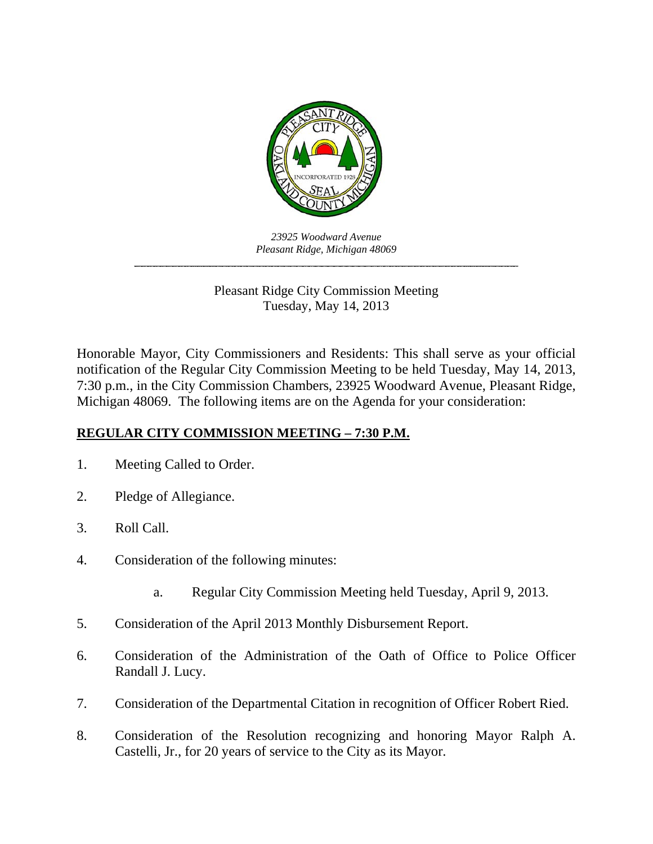

*23925 Woodward Avenue Pleasant Ridge, Michigan 48069 \_\_\_\_\_\_\_\_\_\_\_\_\_\_\_\_\_\_\_\_\_\_\_\_\_\_\_\_\_\_\_\_\_\_\_\_\_\_\_\_\_\_\_\_\_\_\_\_\_\_\_\_\_\_\_\_\_\_\_\_\_\_\_\_\_\_\_\_\_\_\_\_* 

> Pleasant Ridge City Commission Meeting Tuesday, May 14, 2013

Honorable Mayor, City Commissioners and Residents: This shall serve as your official notification of the Regular City Commission Meeting to be held Tuesday, May 14, 2013, 7:30 p.m., in the City Commission Chambers, 23925 Woodward Avenue, Pleasant Ridge, Michigan 48069. The following items are on the Agenda for your consideration:

## **REGULAR CITY COMMISSION MEETING – 7:30 P.M.**

- 1. Meeting Called to Order.
- 2. Pledge of Allegiance.
- 3. Roll Call.
- 4. Consideration of the following minutes:
	- a. Regular City Commission Meeting held Tuesday, April 9, 2013.
- 5. Consideration of the April 2013 Monthly Disbursement Report.
- 6. Consideration of the Administration of the Oath of Office to Police Officer Randall J. Lucy.
- 7. Consideration of the Departmental Citation in recognition of Officer Robert Ried.
- 8. Consideration of the Resolution recognizing and honoring Mayor Ralph A. Castelli, Jr., for 20 years of service to the City as its Mayor.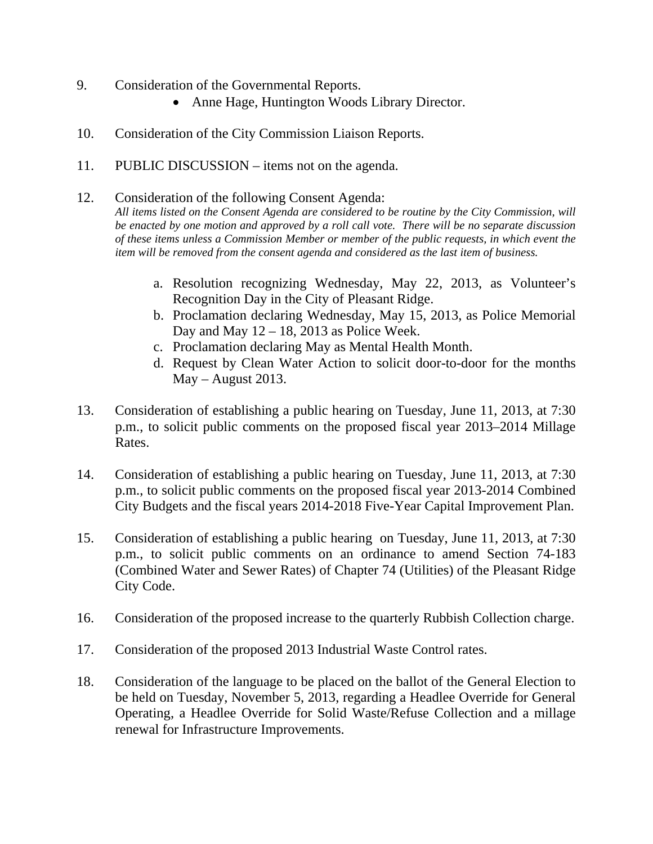- 9. Consideration of the Governmental Reports.
	- Anne Hage, Huntington Woods Library Director.
- 10. Consideration of the City Commission Liaison Reports.
- 11. PUBLIC DISCUSSION items not on the agenda.

## 12. Consideration of the following Consent Agenda:

*All items listed on the Consent Agenda are considered to be routine by the City Commission, will be enacted by one motion and approved by a roll call vote. There will be no separate discussion of these items unless a Commission Member or member of the public requests, in which event the item will be removed from the consent agenda and considered as the last item of business.* 

- a. Resolution recognizing Wednesday, May 22, 2013, as Volunteer's Recognition Day in the City of Pleasant Ridge.
- b. Proclamation declaring Wednesday, May 15, 2013, as Police Memorial Day and May  $12 - 18$ , 2013 as Police Week.
- c. Proclamation declaring May as Mental Health Month.
- d. Request by Clean Water Action to solicit door-to-door for the months  $May - August 2013.$
- 13. Consideration of establishing a public hearing on Tuesday, June 11, 2013, at 7:30 p.m., to solicit public comments on the proposed fiscal year 2013–2014 Millage Rates.
- 14. Consideration of establishing a public hearing on Tuesday, June 11, 2013, at 7:30 p.m., to solicit public comments on the proposed fiscal year 2013-2014 Combined City Budgets and the fiscal years 2014-2018 Five-Year Capital Improvement Plan.
- 15. Consideration of establishing a public hearing on Tuesday, June 11, 2013, at 7:30 p.m., to solicit public comments on an ordinance to amend Section 74-183 (Combined Water and Sewer Rates) of Chapter 74 (Utilities) of the Pleasant Ridge City Code.
- 16. Consideration of the proposed increase to the quarterly Rubbish Collection charge.
- 17. Consideration of the proposed 2013 Industrial Waste Control rates.
- 18. Consideration of the language to be placed on the ballot of the General Election to be held on Tuesday, November 5, 2013, regarding a Headlee Override for General Operating, a Headlee Override for Solid Waste/Refuse Collection and a millage renewal for Infrastructure Improvements.